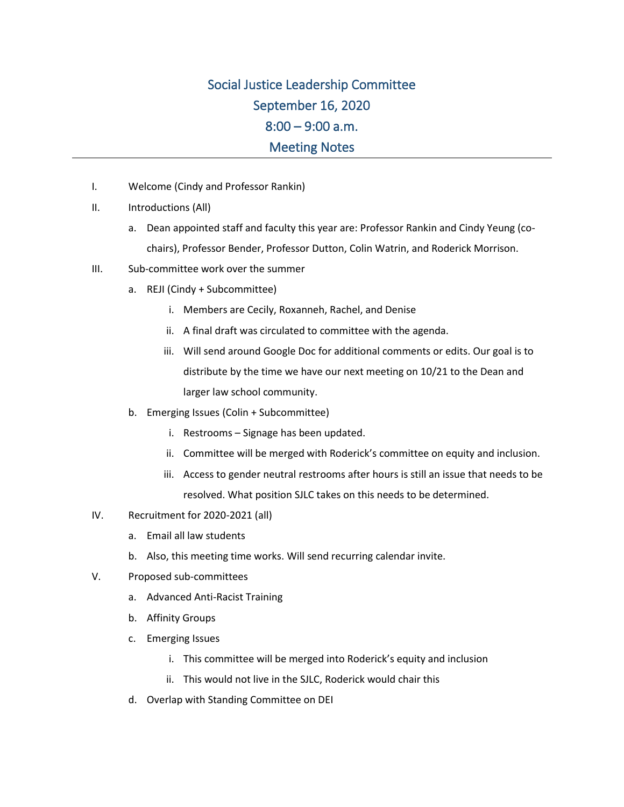## Social Justice Leadership Committee September 16, 2020  $8:00 - 9:00$  a.m. Meeting Notes

- I. Welcome (Cindy and Professor Rankin)
- II. Introductions (All)
	- a. Dean appointed staff and faculty this year are: Professor Rankin and Cindy Yeung (cochairs), Professor Bender, Professor Dutton, Colin Watrin, and Roderick Morrison.
- III. Sub-committee work over the summer
	- a. REJI (Cindy + Subcommittee)
		- i. Members are Cecily, Roxanneh, Rachel, and Denise
		- ii. A final draft was circulated to committee with the agenda.
		- iii. Will send around Google Doc for additional comments or edits. Our goal is to distribute by the time we have our next meeting on 10/21 to the Dean and larger law school community.
	- b. Emerging Issues (Colin + Subcommittee)
		- i. Restrooms Signage has been updated.
		- ii. Committee will be merged with Roderick's committee on equity and inclusion.
		- iii. Access to gender neutral restrooms after hours is still an issue that needs to be resolved. What position SJLC takes on this needs to be determined.
- IV. Recruitment for 2020-2021 (all)
	- a. Email all law students
	- b. Also, this meeting time works. Will send recurring calendar invite.
- V. Proposed sub-committees
	- a. Advanced Anti-Racist Training
	- b. Affinity Groups
	- c. Emerging Issues
		- i. This committee will be merged into Roderick's equity and inclusion
		- ii. This would not live in the SJLC, Roderick would chair this
	- d. Overlap with Standing Committee on DEI